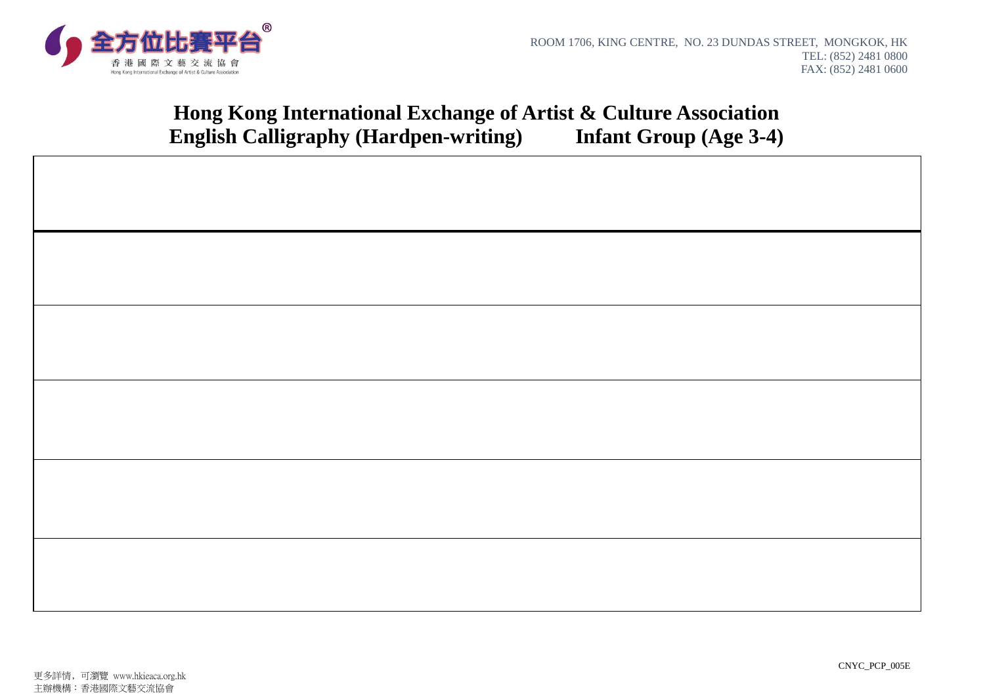

# **Hong Kong International Exchange of Artist & Culture Association English Calligraphy (Hardpen-writing) Infant Group (Age 3-4)**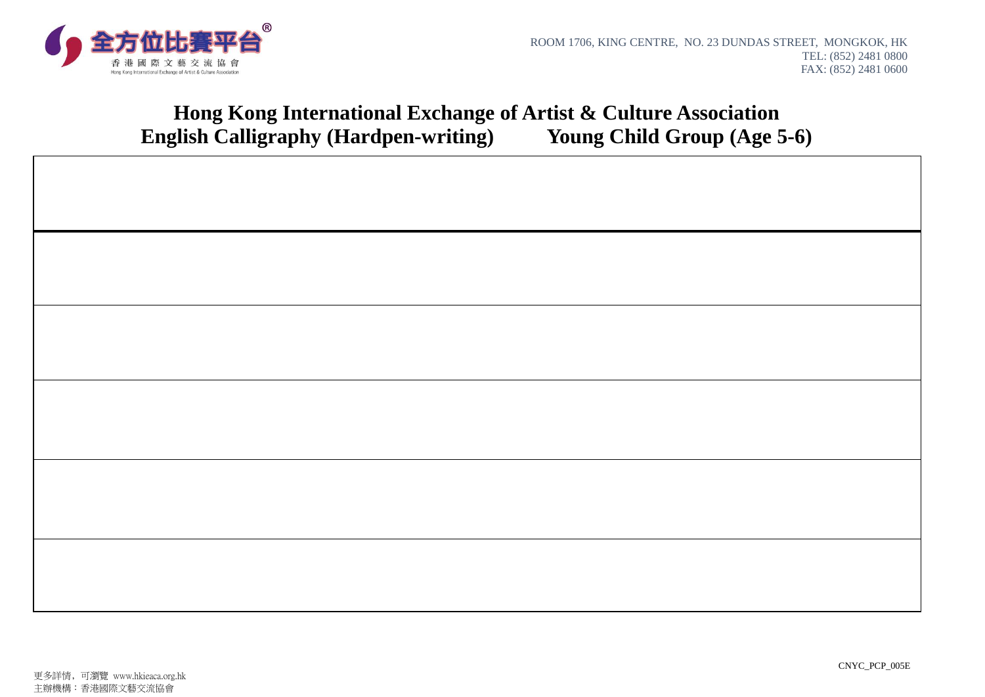

# **Hong Kong International Exchange of Artist & Culture Association English Calligraphy (Hardpen-writing) Young Child Group (Age 5-6)**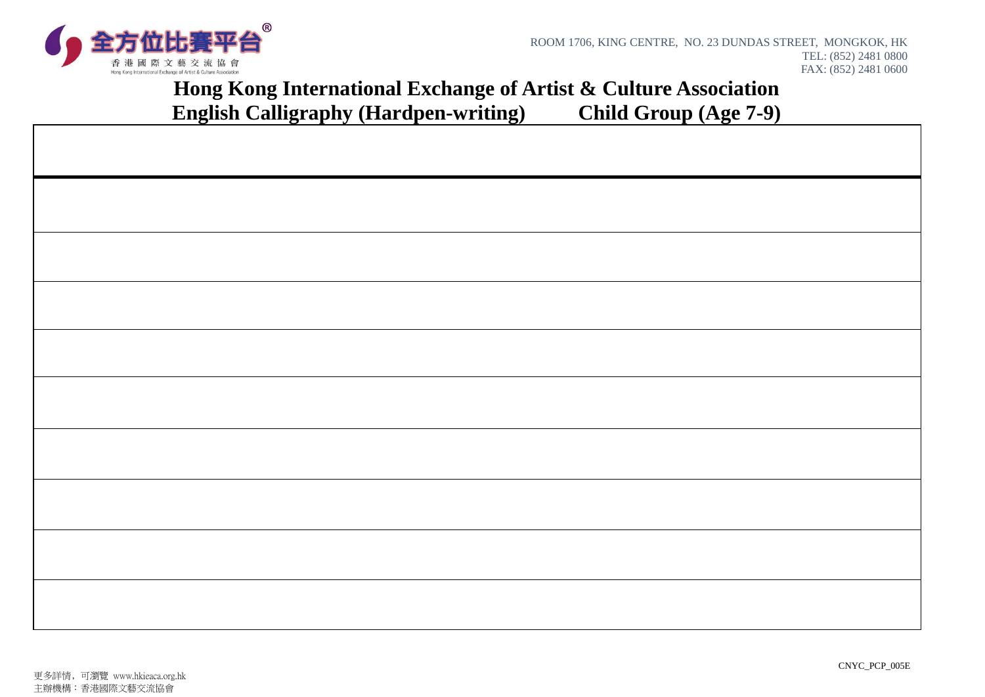

### **Hong Kong International Exchange of Artist & Culture Association English Calligraphy (Hardpen-writing) Child Group (Age 7-9)**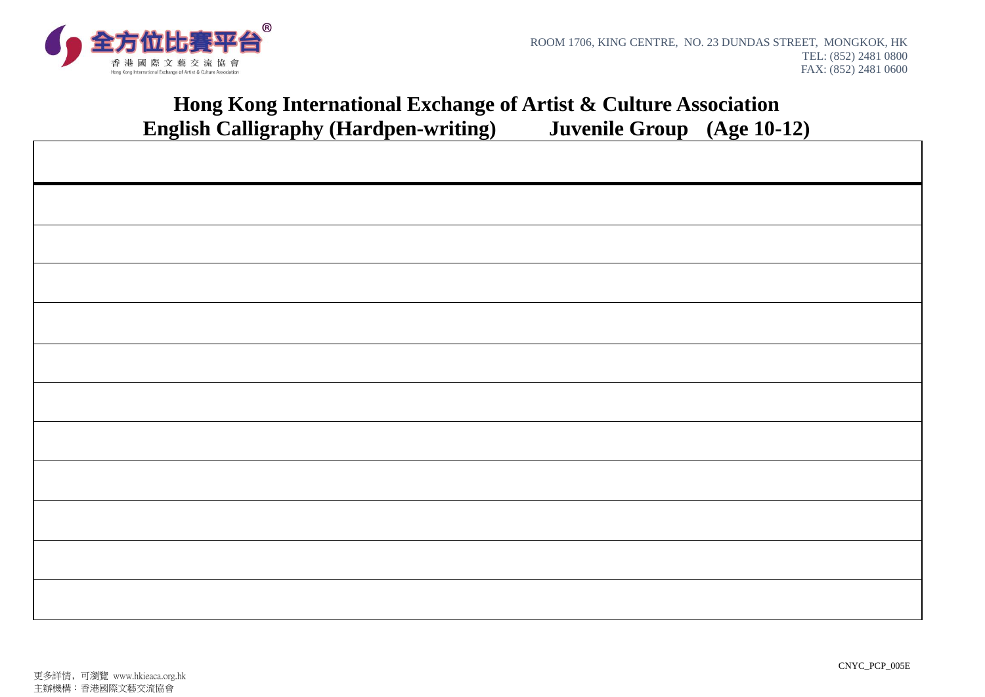

### **Hong Kong International Exchange of Artist & Culture Association English Calligraphy (Hardpen-writing) Juvenile Group (Age 10-12)**

|  | $\mathbf C$<br>$\lambda$ | $\mathbf{C}^{\prime}$ | $\bf\Xi$ |  |
|--|--------------------------|-----------------------|----------|--|
|  |                          |                       |          |  |
|  |                          |                       |          |  |
|  |                          |                       |          |  |
|  |                          |                       |          |  |
|  |                          |                       |          |  |
|  |                          |                       |          |  |
|  |                          |                       |          |  |
|  |                          |                       |          |  |
|  |                          |                       |          |  |
|  |                          |                       |          |  |
|  |                          |                       |          |  |
|  |                          |                       |          |  |
|  |                          |                       |          |  |
|  |                          |                       |          |  |
|  |                          |                       |          |  |
|  |                          |                       |          |  |
|  |                          |                       |          |  |
|  |                          |                       |          |  |
|  |                          |                       |          |  |
|  |                          |                       |          |  |
|  |                          |                       |          |  |
|  |                          |                       |          |  |
|  |                          |                       |          |  |
|  |                          |                       |          |  |
|  |                          |                       |          |  |
|  |                          |                       |          |  |
|  |                          |                       |          |  |
|  |                          |                       |          |  |
|  |                          |                       |          |  |
|  |                          |                       |          |  |
|  |                          |                       |          |  |
|  |                          |                       |          |  |
|  |                          |                       |          |  |
|  |                          |                       |          |  |
|  |                          |                       |          |  |
|  |                          |                       |          |  |
|  |                          |                       |          |  |
|  |                          |                       |          |  |
|  |                          |                       |          |  |
|  |                          |                       |          |  |
|  |                          |                       |          |  |
|  |                          |                       |          |  |
|  |                          |                       |          |  |
|  |                          |                       |          |  |
|  |                          |                       |          |  |
|  |                          |                       |          |  |
|  |                          |                       |          |  |
|  |                          |                       |          |  |
|  |                          |                       |          |  |
|  |                          |                       |          |  |
|  |                          |                       |          |  |
|  |                          |                       |          |  |
|  |                          |                       |          |  |
|  |                          |                       |          |  |
|  |                          |                       |          |  |
|  |                          |                       |          |  |
|  |                          |                       |          |  |
|  |                          |                       |          |  |
|  |                          |                       |          |  |
|  |                          |                       |          |  |
|  |                          |                       |          |  |
|  |                          |                       |          |  |
|  |                          |                       |          |  |
|  |                          |                       |          |  |
|  |                          |                       |          |  |
|  |                          |                       |          |  |
|  |                          |                       |          |  |
|  |                          |                       |          |  |
|  |                          |                       |          |  |
|  |                          |                       |          |  |
|  |                          |                       |          |  |
|  |                          |                       |          |  |
|  |                          |                       |          |  |
|  |                          |                       |          |  |
|  |                          |                       |          |  |
|  |                          |                       |          |  |
|  |                          |                       |          |  |
|  |                          |                       |          |  |
|  |                          |                       |          |  |
|  |                          |                       |          |  |
|  |                          |                       |          |  |
|  |                          |                       |          |  |
|  |                          |                       |          |  |
|  |                          |                       |          |  |
|  |                          |                       |          |  |
|  |                          |                       |          |  |
|  |                          |                       |          |  |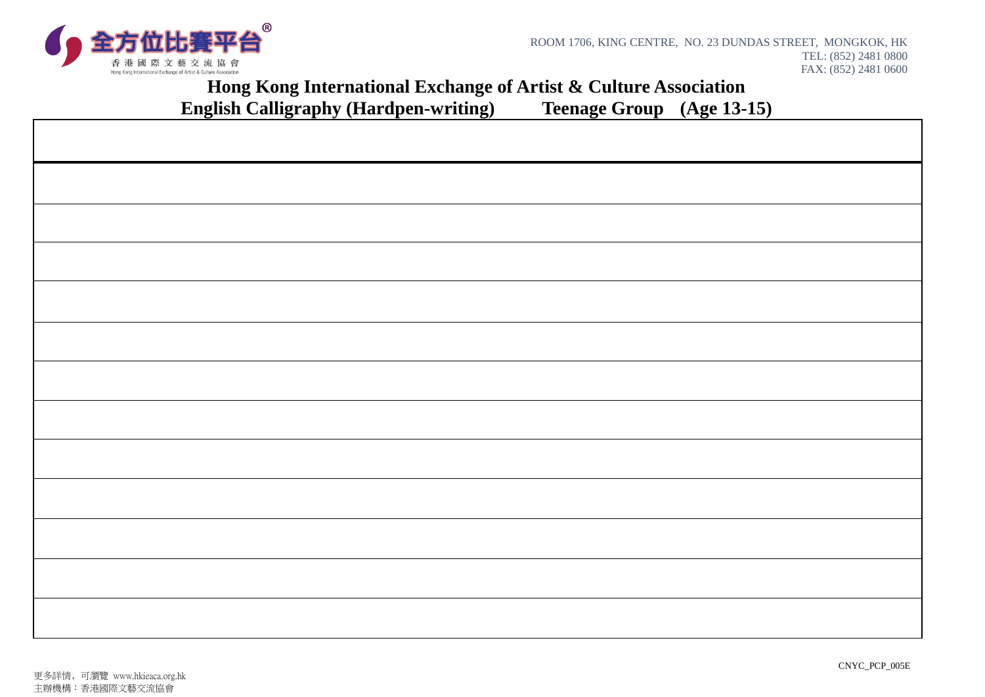

 $\Gamma$ 

#### **Hong Kong International Exchange of Artist & Culture Association glish Calligraphy (Hardpen-writing)** Teenage Group (Age 13-15) **English Calligraphy (Hardpen-writing)**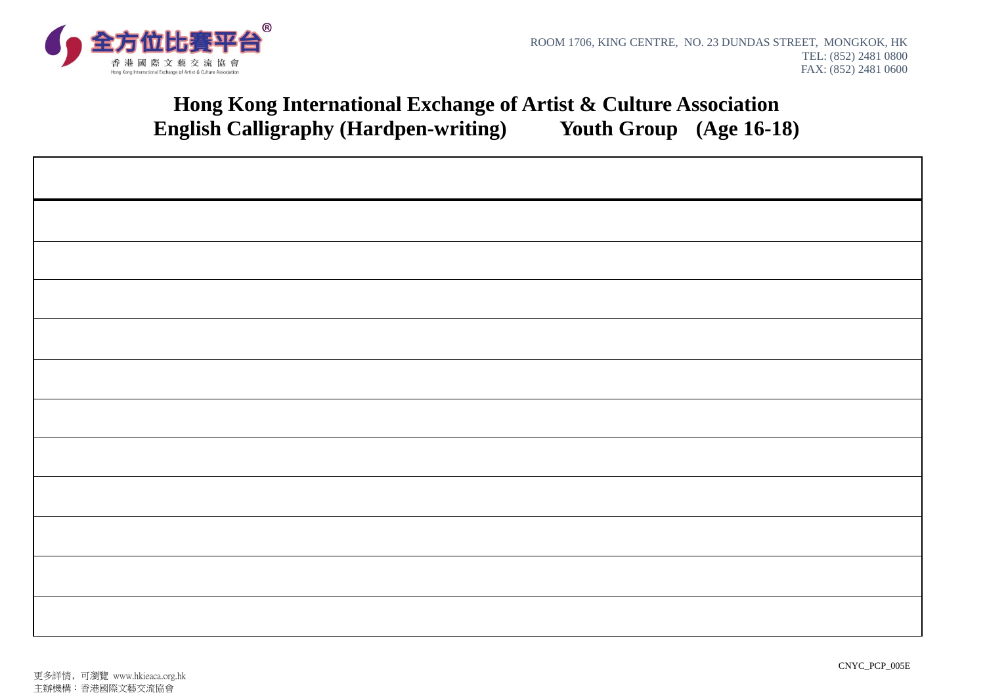

## **Hong Kong International Exchange of Artist & Culture Association English Calligraphy (Hardpen-writing) Youth Group (Age 16-18)**